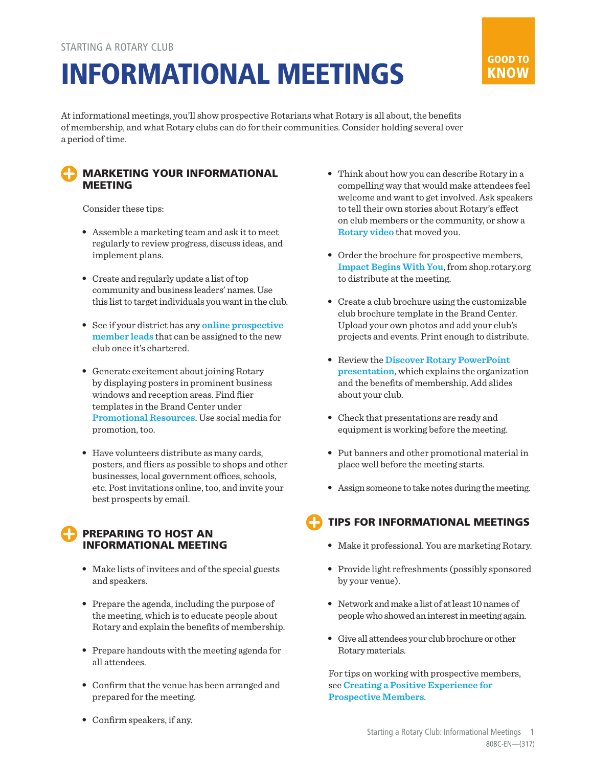# INFORMATIONAL MEETINGS



At informational meetings, you'll show prospective Rotarians what Rotary is all about, the benefits of membership, and what Rotary clubs can do for their communities. Consider holding several over a period of time.

#### MARKETING YOUR INFORMATIONAL MEETING

Consider these tips:

- Assemble a marketing team and ask it to meet regularly to review progress, discuss ideas, and implement plans.
- Create and regularly update a list of top community and business leaders' names. Use this list to target individuals you want in the club.
- See if your district has any **[online prospective](https://www.rotary.org/myrotary/en/document/how-manage-membership-leads-districts)  [member leads](https://www.rotary.org/myrotary/en/document/how-manage-membership-leads-districts)** that can be assigned to the new club once it's chartered.
- Generate excitement about joining Rotary by displaying posters in prominent business windows and reception areas. Find flier templates in the Brand Center under **[Promotional Resources](https://brandcenter.rotary.org/en-GB/Materials/Promotional-Resources)**. Use social media for promotion, too.
- Have volunteers distribute as many cards, posters, and fliers as possible to shops and other businesses, local government offices, schools, etc. Post invitations online, too, and invite your best prospects by email.

### PREPARING TO HOST AN INFORMATIONAL MEETING

- Make lists of invitees and of the special guests and speakers.
- Prepare the agenda, including the purpose of the meeting, which is to educate people about Rotary and explain the benefits of membership.
- Prepare handouts with the meeting agenda for all attendees.
- Confirm that the venue has been arranged and prepared for the meeting.
- Confirm speakers, if any.
- Think about how you can describe Rotary in a compelling way that would make attendees feel welcome and want to get involved. Ask speakers to tell their own stories about Rotary's effect on club members or the community, or show a **[Rotary video](http://video.rotary.org/set_language/?language_code=en&redirect_to=/)** that moved you.
- Order the brochure for prospective members, **[Impact Begins With You](https://shop.rotary.org/prospective-member-brochure-impact-begins-with-you-english-set-of-5)**, from shop.rotary.org to distribute at the meeting.
- Create a club brochure using the customizable club brochure template in the Brand Center. Upload your own photos and add your club's projects and events. Print enough to distribute.
- Review the **[Discover Rotary PowerPoint](https://www.rotary.org/myrotary/en/document/discover-rotary)  [presentation](https://www.rotary.org/myrotary/en/document/discover-rotary)**, which explains the organization and the benefits of membership. Add slides about your club.
- Check that presentations are ready and equipment is working before the meeting.
- Put banners and other promotional material in place well before the meeting starts.
- Assign someone to take notes during the meeting.

# TIPS FOR INFORMATIONAL MEETINGS

- Make it professional. You are marketing Rotary.
- Provide light refreshments (possibly sponsored by your venue).
- Network and make a list of at least 10 names of people who showed an interest in meeting again.
- Give all attendees your club brochure or other Rotary materials.

For tips on working with prospective members, see **[Creating a Positive Experience for](https://www.rotary.org/myrotary/en/document/creating-positive-experience-prospective-members)  [Prospective Members](https://www.rotary.org/myrotary/en/document/creating-positive-experience-prospective-members)**.